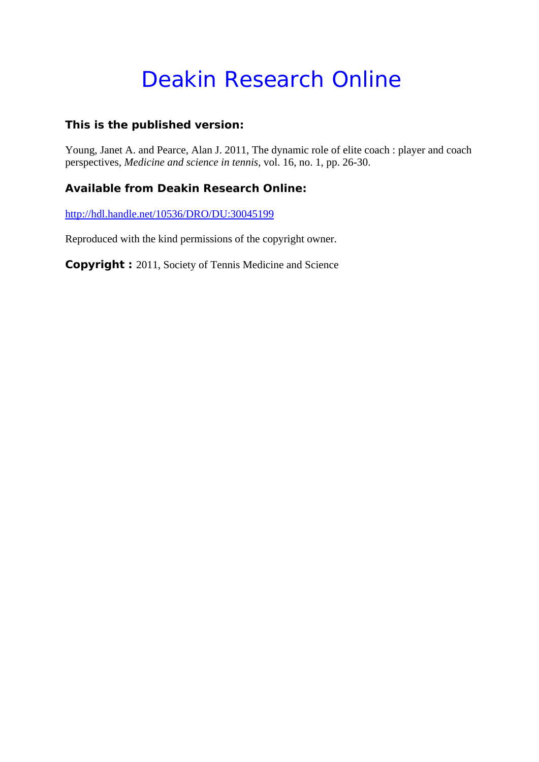# Deakin Research Online

# **This is the published version:**

Young, Janet A. and Pearce, Alan J. 2011, The dynamic role of elite coach : player and coach perspectives*, Medicine and science in tennis*, vol. 16, no. 1, pp. 26-30.

# **Available from Deakin Research Online:**

http://hdl.handle.net/10536/DRO/DU:30045199

Reproduced with the kind permissions of the copyright owner.

**Copyright :** 2011, Society of Tennis Medicine and Science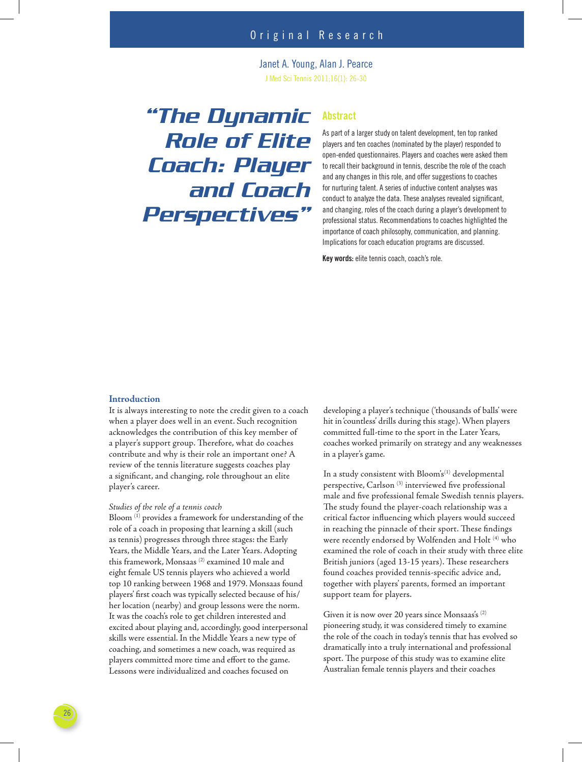Janet A. Young, Alan J. Pearce J Med Sci Tennis 2011;16(1): 26-30

# *"The Dynamic Role of Elite Coach: Player and Coach Perspectives"*

## **Abstract**

As part of a larger study on talent development, ten top ranked players and ten coaches (nominated by the player) responded to open-ended questionnaires. Players and coaches were asked them to recall their background in tennis, describe the role of the coach and any changes in this role, and offer suggestions to coaches for nurturing talent. A series of inductive content analyses was conduct to analyze the data. These analyses revealed significant, and changing, roles of the coach during a player's development to professional status. Recommendations to coaches highlighted the importance of coach philosophy, communication, and planning. Implications for coach education programs are discussed.

**Key words:** elite tennis coach, coach's role.

#### **Introduction**

It is always interesting to note the credit given to a coach when a player does well in an event. Such recognition acknowledges the contribution of this key member of a player's support group. Therefore, what do coaches contribute and why is their role an important one? A review of the tennis literature suggests coaches play a significant, and changing, role throughout an elite player's career.

#### *Studies of the role of a tennis coach*

Bloom (1) provides a framework for understanding of the role of a coach in proposing that learning a skill (such as tennis) progresses through three stages: the Early Years, the Middle Years, and the Later Years. Adopting this framework, Monsaas (2) examined 10 male and eight female US tennis players who achieved a world top 10 ranking between 1968 and 1979. Monsaas found players' first coach was typically selected because of his/ her location (nearby) and group lessons were the norm. It was the coach's role to get children interested and excited about playing and, accordingly, good interpersonal skills were essential. In the Middle Years a new type of coaching, and sometimes a new coach, was required as players committed more time and effort to the game. Lessons were individualized and coaches focused on

developing a player's technique ('thousands of balls' were hit in 'countless' drills during this stage). When players committed full-time to the sport in the Later Years, coaches worked primarily on strategy and any weaknesses in a player's game.

In a study consistent with  $Bloom's^{(1)}$  developmental perspective, Carlson<sup>(3)</sup> interviewed five professional male and five professional female Swedish tennis players. The study found the player-coach relationship was a critical factor influencing which players would succeed in reaching the pinnacle of their sport. These findings were recently endorsed by Wolfenden and Holt (4) who examined the role of coach in their study with three elite British juniors (aged 13-15 years). These researchers found coaches provided tennis-specific advice and, together with players' parents, formed an important support team for players.

Given it is now over 20 years since Monsaas's (2) pioneering study, it was considered timely to examine the role of the coach in today's tennis that has evolved so dramatically into a truly international and professional sport. The purpose of this study was to examine elite Australian female tennis players and their coaches

26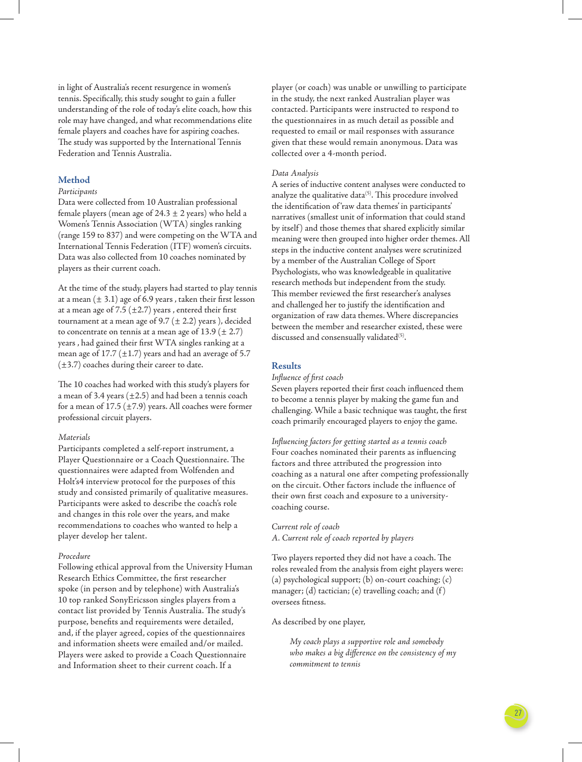in light of Australia's recent resurgence in women's tennis. Specifically, this study sought to gain a fuller understanding of the role of today's elite coach, how this role may have changed, and what recommendations elite female players and coaches have for aspiring coaches. The study was supported by the International Tennis Federation and Tennis Australia.

#### **Method**

#### *Participants*

Data were collected from 10 Australian professional female players (mean age of  $24.3 \pm 2$  years) who held a Women's Tennis Association (WTA) singles ranking (range 159 to 837) and were competing on the WTA and International Tennis Federation (ITF) women's circuits. Data was also collected from 10 coaches nominated by players as their current coach.

At the time of the study, players had started to play tennis at a mean  $(\pm 3.1)$  age of 6.9 years , taken their first lesson at a mean age of 7.5 ( $\pm$ 2.7) years, entered their first tournament at a mean age of 9.7 ( $\pm$  2.2) years), decided to concentrate on tennis at a mean age of  $13.9 (\pm 2.7)$ years, had gained their first WTA singles ranking at a mean age of 17.7 ( $\pm$ 1.7) years and had an average of 5.7 (±3.7) coaches during their career to date.

The 10 coaches had worked with this study's players for a mean of 3.4 years  $(\pm 2.5)$  and had been a tennis coach for a mean of 17.5 ( $\pm$ 7.9) years. All coaches were former professional circuit players.

#### *Materials*

Participants completed a self-report instrument, a Player Questionnaire or a Coach Questionnaire. The questionnaires were adapted from Wolfenden and Holt's4 interview protocol for the purposes of this study and consisted primarily of qualitative measures. Participants were asked to describe the coach's role and changes in this role over the years, and make recommendations to coaches who wanted to help a player develop her talent.

#### *Procedure*

Following ethical approval from the University Human Research Ethics Committee, the first researcher spoke (in person and by telephone) with Australia's 10 top ranked SonyEricsson singles players from a contact list provided by Tennis Australia. The study's purpose, benefits and requirements were detailed, and, if the player agreed, copies of the questionnaires and information sheets were emailed and/or mailed. Players were asked to provide a Coach Questionnaire and Information sheet to their current coach. If a

player (or coach) was unable or unwilling to participate in the study, the next ranked Australian player was contacted. Participants were instructed to respond to the questionnaires in as much detail as possible and requested to email or mail responses with assurance given that these would remain anonymous. Data was collected over a 4-month period.

#### *Data Analysis*

A series of inductive content analyses were conducted to analyze the qualitative data $(5)$ . This procedure involved the identification of 'raw data themes' in participants' narratives (smallest unit of information that could stand by itself ) and those themes that shared explicitly similar meaning were then grouped into higher order themes. All steps in the inductive content analyses were scrutinized by a member of the Australian College of Sport Psychologists, who was knowledgeable in qualitative research methods but independent from the study. This member reviewed the first researcher's analyses and challenged her to justify the identification and organization of raw data themes. Where discrepancies between the member and researcher existed, these were discussed and consensually validated<sup>(5)</sup>.

#### **Results**

#### *Influence of first coach*

Seven players reported their first coach influenced them to become a tennis player by making the game fun and challenging. While a basic technique was taught, the first coach primarily encouraged players to enjoy the game.

*Infl uencing factors for getting started as a tennis coach*  Four coaches nominated their parents as influencing factors and three attributed the progression into coaching as a natural one after competing professionally on the circuit. Other factors include the influence of their own first coach and exposure to a universitycoaching course.

#### *Current role of coach A. Current role of coach reported by players*

Two players reported they did not have a coach. The roles revealed from the analysis from eight players were: (a) psychological support; (b) on-court coaching; (c) manager; (d) tactician; (e) travelling coach; and (f) oversees fitness.

As described by one player,

*My coach plays a supportive role and somebody*  who makes a big difference on the consistency of my *commitment to tennis*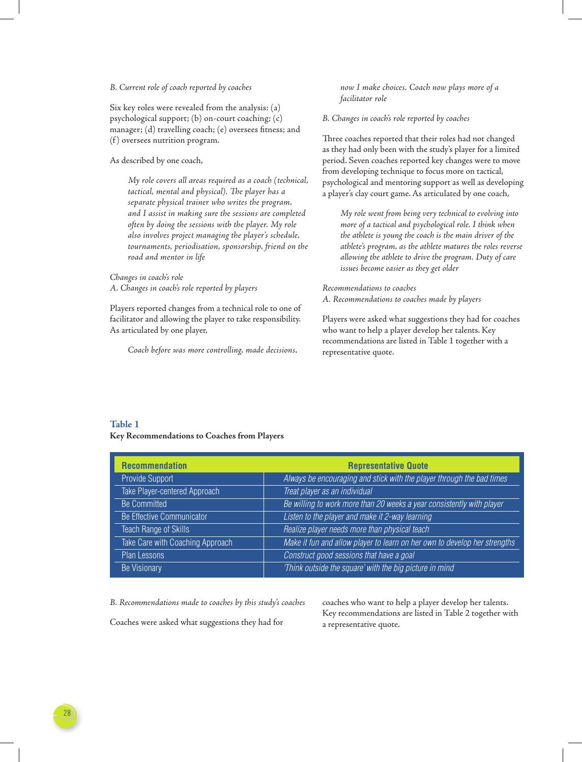#### *B. Current role of coach reported by coaches*

Six key roles were revealed from the analysis: (a) psychological support; (b) on-court coaching; (c) manager; (d) travelling coach; (e) oversees fitness; and (f) oversees nutrition program.

As described by one coach,

*My role covers all areas required as a coach (technical,*  tactical, mental and physical). The player has a *separate physical trainer who writes the program, and I assist in making sure the sessions are completed often by doing the sessions with the player. My role also involves project managing the player's schedule, tournaments, periodisation, sponsorship, friend on the road and mentor in life*

*Changes in coach's role A. Changes in coach's role reported by players*

Players reported changes from a technical role to one of facilitator and allowing the player to take responsibility. As articulated by one player,

*Coach before was more controlling, made decisions,* 

*now I make choices. Coach now plays more of a facilitator role* 

#### *B. Changes in coach's role reported by coaches*

Three coaches reported that their roles had not changed as they had only been with the study's player for a limited period. Seven coaches reported key changes were to move from developing technique to focus more on tactical, psychological and mentoring support as well as developing a player's clay court game. As articulated by one coach,

*My role went from being very technical to evolving into more of a tactical and psychological role. I think when the athlete is young the coach is the main driver of the athlete's program, as the athlete matures the roles reverse allowing the athlete to drive the program. Duty of care issues become easier as they get older*

*Recommendations to coaches A. Recommendations to coaches made by players*

Players were asked what suggestions they had for coaches who want to help a player develop her talents. Key recommendations are listed in Table 1 together with a representative quote.

#### **Table 1 Key Recommendations to Coaches from Players**

| <b>Recommendation</b>            | <b>Representative Quote</b>                                               |
|----------------------------------|---------------------------------------------------------------------------|
| Provide Support                  | Always be encouraging and stick with the player through the bad times     |
| Take Player-centered Approach    | Treat player as an individual                                             |
| <b>Be Committed</b>              | Be willing to work more than 20 weeks a year consistently with player     |
| Be Effective Communicator        | Listen to the player and make it 2-way learning                           |
| Teach Range of Skills            | Realize player needs more than physical teach                             |
| Take Care with Coaching Approach | Make it fun and allow player to learn on her own to develop her strengths |
| <b>Plan Lessons</b>              | Construct good sessions that have a goal                                  |
| <b>Be Visionary</b>              | 'Think outside the square' with the big picture in mind                   |

*B. Recommendations made to coaches by this study's coaches*

Coaches were asked what suggestions they had for

coaches who want to help a player develop her talents. Key recommendations are listed in Table 2 together with a representative quote.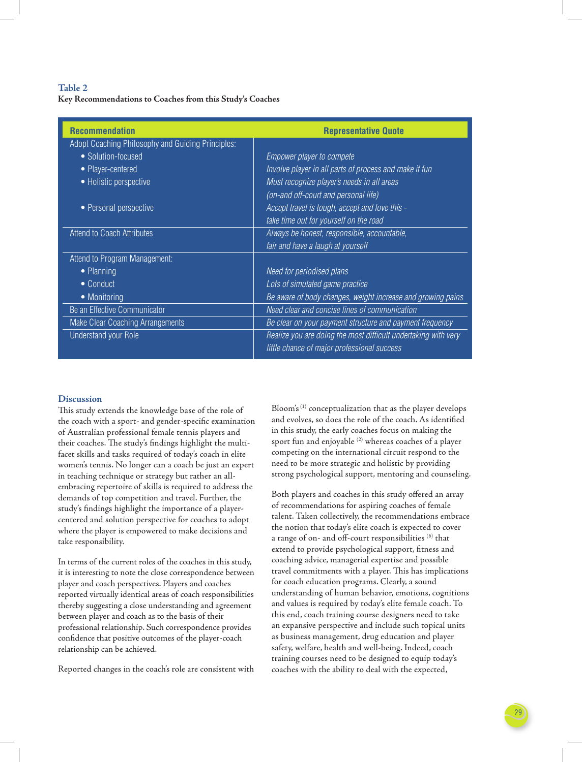## **Table 2 Key Recommendations to Coaches from this Study's Coaches**

| <b>Recommendation</b>                             | <b>Representative Quote</b>                                    |
|---------------------------------------------------|----------------------------------------------------------------|
| Adopt Coaching Philosophy and Guiding Principles: |                                                                |
| • Solution-focused                                | Empower player to compete                                      |
| • Player-centered                                 | Involve player in all parts of process and make it fun         |
| • Holistic perspective                            | Must recognize player's needs in all areas                     |
|                                                   | (on-and off-court and personal life)                           |
| • Personal perspective                            | Accept travel is tough, accept and love this -                 |
|                                                   | take time out for yourself on the road                         |
| <b>Attend to Coach Attributes</b>                 | Always be honest, responsible, accountable,                    |
|                                                   | fair and have a laugh at yourself                              |
| Attend to Program Management:                     |                                                                |
| • Planning                                        | Need for periodised plans                                      |
| • Conduct                                         | Lots of simulated game practice                                |
| • Monitoring                                      | Be aware of body changes, weight increase and growing pains    |
| Be an Effective Communicator                      | Need clear and concise lines of communication                  |
| Make Clear Coaching Arrangements                  | Be clear on your payment structure and payment frequency       |
| <b>Understand your Role</b>                       | Realize you are doing the most difficult undertaking with very |
|                                                   | little chance of major professional success                    |

### **Discussion**

This study extends the knowledge base of the role of the coach with a sport- and gender-specific examination of Australian professional female tennis players and their coaches. The study's findings highlight the multifacet skills and tasks required of today's coach in elite women's tennis. No longer can a coach be just an expert in teaching technique or strategy but rather an allembracing repertoire of skills is required to address the demands of top competition and travel. Further, the study's findings highlight the importance of a playercentered and solution perspective for coaches to adopt where the player is empowered to make decisions and take responsibility.

In terms of the current roles of the coaches in this study, it is interesting to note the close correspondence between player and coach perspectives. Players and coaches reported virtually identical areas of coach responsibilities thereby suggesting a close understanding and agreement between player and coach as to the basis of their professional relationship. Such correspondence provides confidence that positive outcomes of the player-coach relationship can be achieved.

Reported changes in the coach's role are consistent with

Bloom's (1) conceptualization that as the player develops and evolves, so does the role of the coach. As identified in this study, the early coaches focus on making the sport fun and enjoyable (2) whereas coaches of a player competing on the international circuit respond to the need to be more strategic and holistic by providing strong psychological support, mentoring and counseling.

Both players and coaches in this study offered an array of recommendations for aspiring coaches of female talent. Taken collectively, the recommendations embrace the notion that today's elite coach is expected to cover a range of on- and off-court responsibilities (6) that extend to provide psychological support, fitness and coaching advice, managerial expertise and possible travel commitments with a player. This has implications for coach education programs. Clearly, a sound understanding of human behavior, emotions, cognitions and values is required by today's elite female coach. To this end, coach training course designers need to take an expansive perspective and include such topical units as business management, drug education and player safety, welfare, health and well-being. Indeed, coach training courses need to be designed to equip today's coaches with the ability to deal with the expected,